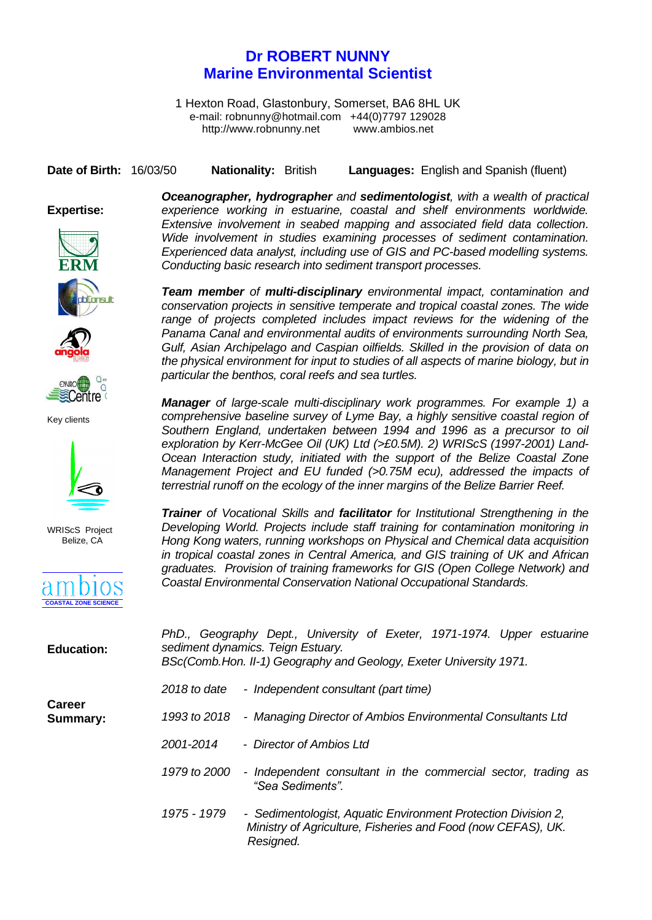## **Dr ROBERT NUNNY Marine Environmental Scientist**

1 Hexton Road, Glastonbury, Somerset, BA6 8HL UK e-mail: [robnunny@hotmail.com](mailto:robnunny@ambios.net) +44(0)7797 129028 http://www.robnunny.net [www.](http://www.wriscs.org/)ambios.net

**Date of Birth:** 16/03/50 **Nationality:** British **Languages:** English and Spanish (fluent)

## **Expertise:**



**TISH** 

Key clients

WRIScS Project Belize, CA

**COASTAL ZONE SCIENCE**

*Oceanographer, hydrographer and sedimentologist, with a wealth of practical experience working in estuarine, coastal and shelf environments worldwide. Extensive involvement in seabed mapping and associated field data collection. Wide involvement in studies examining processes of sediment contamination. Experienced data analyst, including use of GIS and PC-based modelling systems. Conducting basic research into sediment transport processes.*  **ERM**

> *Team member of multi-disciplinary environmental impact, contamination and conservation projects in sensitive temperate and tropical coastal zones. The wide range of projects completed includes impact reviews for the widening of the Panama Canal and environmental audits of environments surrounding North Sea, Gulf, Asian Archipelago and Caspian oilfields. Skilled in the provision of data on the physical environment for input to studies of all aspects of marine biology, but in particular the benthos, coral reefs and sea turtles.*

> *Manager of large-scale multi-disciplinary work programmes. For example 1) a comprehensive baseline survey of Lyme Bay, a highly sensitive coastal region of Southern England, undertaken between 1994 and 1996 as a precursor to oil exploration by Kerr-McGee Oil (UK) Ltd (>£0.5M). 2) WRIScS (1997-2001) Land-Ocean Interaction study, initiated with the support of the Belize Coastal Zone Management Project and EU funded (>0.75M ecu), addressed the impacts of terrestrial runoff on the ecology of the inner margins of the Belize Barrier Reef.*

> *Trainer of Vocational Skills and facilitator for Institutional Strengthening in the Developing World. Projects include staff training for contamination monitoring in Hong Kong waters, running workshops on Physical and Chemical data acquisition in tropical coastal zones in Central America, and GIS training of UK and African graduates. Provision of training frameworks for GIS (Open College Network) and Coastal Environmental Conservation National Occupational Standards.*

| <b>Education:</b>         | PhD., Geography Dept., University of Exeter, 1971-1974. Upper estuarine<br>sediment dynamics. Teign Estuary.<br>BSc(Comb.Hon. II-1) Geography and Geology, Exeter University 1971. |
|---------------------------|------------------------------------------------------------------------------------------------------------------------------------------------------------------------------------|
| <b>Career</b><br>Summary: | 2018 to date - Independent consultant (part time)                                                                                                                                  |
|                           | - Managing Director of Ambios Environmental Consultants Ltd<br>1993 to 2018                                                                                                        |
|                           | 2001-2014<br>- Director of Ambios Ltd                                                                                                                                              |
|                           | - Independent consultant in the commercial sector, trading as<br>1979 to 2000<br>"Sea Sediments".                                                                                  |
|                           | 1975 - 1979<br>- Sedimentologist, Aquatic Environment Protection Division 2,<br>Ministry of Agriculture, Fisheries and Food (now CEFAS), UK.<br>Resigned.                          |